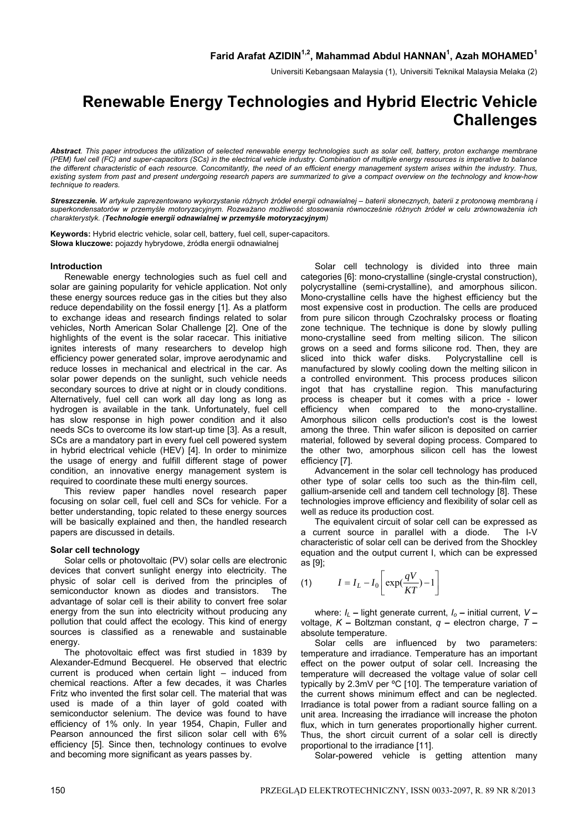Universiti Kebangsaan Malaysia (1), Universiti Teknikal Malaysia Melaka (2)

# **Renewable Energy Technologies and Hybrid Electric Vehicle Challenges**

*Abstract. This paper introduces the utilization of selected renewable energy technologies such as solar cell, battery, proton exchange membrane (PEM) fuel cell (FC) and super-capacitors (SCs) in the electrical vehicle industry. Combination of multiple energy resources is imperative to balance the different characteristic of each resource. Concomitantly, the need of an efficient energy management system arises within the industry. Thus, existing system from past and present undergoing research papers are summarized to give a compact overview on the technology and know-how technique to readers.* 

Streszczenie. W artykule zaprezentowano wykorzystanie różnych źródeł energii odnawialnej - baterii słonecznych, baterii z protonową membraną i superkondensatorów w przemyśle motoryzacyjnym. Rozważano możliwość stosowania równocześnie różnych źródeł w celu zrównoważenia ich *charakterystyk. (Technologie energii odnawialnej w przemyśle motoryzacyjnym)* 

**Keywords:** Hybrid electric vehicle, solar cell, battery, fuel cell, super-capacitors. **Słowa kluczowe:** pojazdy hybrydowe, źródła energii odnawialnej

## **Introduction**

Renewable energy technologies such as fuel cell and solar are gaining popularity for vehicle application. Not only these energy sources reduce gas in the cities but they also reduce dependability on the fossil energy [1]. As a platform to exchange ideas and research findings related to solar vehicles, North American Solar Challenge [2]. One of the highlights of the event is the solar racecar. This initiative ignites interests of many researchers to develop high efficiency power generated solar, improve aerodynamic and reduce losses in mechanical and electrical in the car. As solar power depends on the sunlight, such vehicle needs secondary sources to drive at night or in cloudy conditions. Alternatively, fuel cell can work all day long as long as hydrogen is available in the tank. Unfortunately, fuel cell has slow response in high power condition and it also needs SCs to overcome its low start-up time [3]. As a result, SCs are a mandatory part in every fuel cell powered system in hybrid electrical vehicle (HEV) [4]. In order to minimize the usage of energy and fulfill different stage of power condition, an innovative energy management system is required to coordinate these multi energy sources.

This review paper handles novel research paper focusing on solar cell, fuel cell and SCs for vehicle. For a better understanding, topic related to these energy sources will be basically explained and then, the handled research papers are discussed in details.

## **Solar cell technology**

Solar cells or photovoltaic (PV) solar cells are electronic devices that convert sunlight energy into electricity. The physic of solar cell is derived from the principles of semiconductor known as diodes and transistors. The advantage of solar cell is their ability to convert free solar energy from the sun into electricity without producing any pollution that could affect the ecology. This kind of energy sources is classified as a renewable and sustainable energy.

The photovoltaic effect was first studied in 1839 by Alexander-Edmund Becquerel. He observed that electric current is produced when certain light – induced from chemical reactions. After a few decades, it was Charles Fritz who invented the first solar cell. The material that was used is made of a thin layer of gold coated with semiconductor selenium. The device was found to have efficiency of 1% only. In year 1954, Chapin, Fuller and Pearson announced the first silicon solar cell with 6% efficiency [5]. Since then, technology continues to evolve and becoming more significant as years passes by.

Solar cell technology is divided into three main categories [6]: mono-crystalline (single-crystal construction), polycrystalline (semi-crystalline), and amorphous silicon. Mono-crystalline cells have the highest efficiency but the most expensive cost in production. The cells are produced from pure silicon through Czochralsky process or floating zone technique. The technique is done by slowly pulling mono-crystalline seed from melting silicon. The silicon grows on a seed and forms silicone rod. Then, they are sliced into thick wafer disks. Polycrystalline cell is manufactured by slowly cooling down the melting silicon in a controlled environment. This process produces silicon ingot that has crystalline region. This manufacturing process is cheaper but it comes with a price - lower efficiency when compared to the mono-crystalline. Amorphous silicon cells production's cost is the lowest among the three. Thin wafer silicon is deposited on carrier material, followed by several doping process. Compared to the other two, amorphous silicon cell has the lowest efficiency [7].

Advancement in the solar cell technology has produced other type of solar cells too such as the thin-film cell, gallium-arsenide cell and tandem cell technology [8]. These technologies improve efficiency and flexibility of solar cell as well as reduce its production cost.

The equivalent circuit of solar cell can be expressed as a current source in parallel with a diode. The I-V characteristic of solar cell can be derived from the Shockley equation and the output current I, which can be expressed as [9];

$$
(1) \tI = I_L - I_0 \left[ \exp(\frac{qV}{KT}) - 1 \right]
$$

where:  $I_L$  – light generate current,  $I_0$  – initial current,  $V$  – voltage, *K* **–** Boltzman constant, *q* **–** electron charge, *T* **–** absolute temperature.

Solar cells are influenced by two parameters: temperature and irradiance. Temperature has an important effect on the power output of solar cell. Increasing the temperature will decreased the voltage value of solar cell typically by 2.3mV per ºC [10]. The temperature variation of the current shows minimum effect and can be neglected. Irradiance is total power from a radiant source falling on a unit area. Increasing the irradiance will increase the photon flux, which in turn generates proportionally higher current. Thus, the short circuit current of a solar cell is directly proportional to the irradiance [11].

Solar-powered vehicle is getting attention many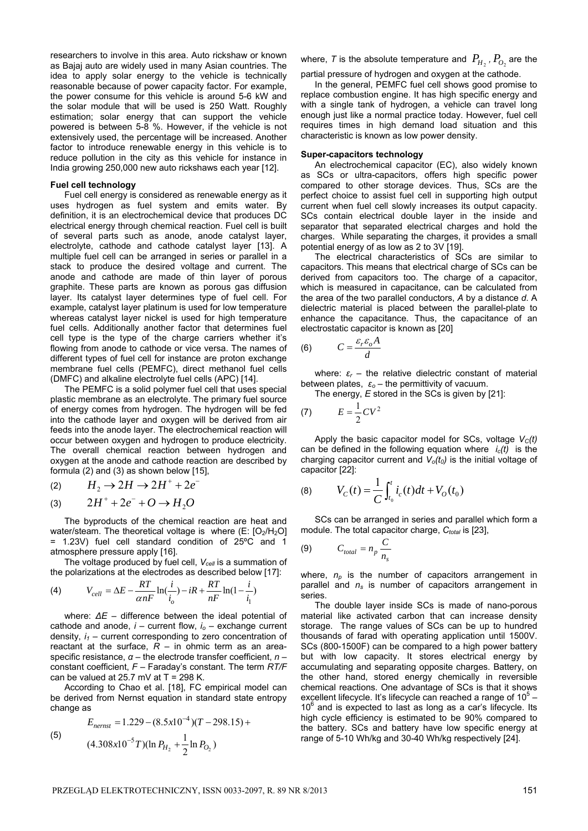researchers to involve in this area. Auto rickshaw or known as Bajaj auto are widely used in many Asian countries. The idea to apply solar energy to the vehicle is technically reasonable because of power capacity factor. For example, the power consume for this vehicle is around 5-6 kW and the solar module that will be used is 250 Watt. Roughly estimation; solar energy that can support the vehicle powered is between 5-8 %. However, if the vehicle is not extensively used, the percentage will be increased. Another factor to introduce renewable energy in this vehicle is to reduce pollution in the city as this vehicle for instance in India growing 250,000 new auto rickshaws each year [12].

### **Fuel cell technology**

Fuel cell energy is considered as renewable energy as it uses hydrogen as fuel system and emits water. By definition, it is an electrochemical device that produces DC electrical energy through chemical reaction. Fuel cell is built of several parts such as anode, anode catalyst layer, electrolyte, cathode and cathode catalyst layer [13]. A multiple fuel cell can be arranged in series or parallel in a stack to produce the desired voltage and current. The anode and cathode are made of thin layer of porous graphite. These parts are known as porous gas diffusion layer. Its catalyst layer determines type of fuel cell. For example, catalyst layer platinum is used for low temperature whereas catalyst layer nickel is used for high temperature fuel cells. Additionally another factor that determines fuel cell type is the type of the charge carriers whether it's flowing from anode to cathode or vice versa. The names of different types of fuel cell for instance are proton exchange membrane fuel cells (PEMFC), direct methanol fuel cells (DMFC) and alkaline electrolyte fuel cells (APC) [14].

The PEMFC is a solid polymer fuel cell that uses special plastic membrane as an electrolyte. The primary fuel source of energy comes from hydrogen. The hydrogen will be fed into the cathode layer and oxygen will be derived from air feeds into the anode layer. The electrochemical reaction will occur between oxygen and hydrogen to produce electricity. The overall chemical reaction between hydrogen and oxygen at the anode and cathode reaction are described by formula (2) and (3) as shown below [15],

$$
(2) \tH_2 \to 2H \to 2H^+ + 2e^-
$$

(3) 
$$
2H^+ + 2e^- + O \rightarrow H_2O
$$

The byproducts of the chemical reaction are heat and water/steam. The theoretical voltage is where  $(E: [O_2/H_2O]$ = 1.23V) fuel cell standard condition of 25ºC and 1 atmosphere pressure apply [16].

The voltage produced by fuel cell,  $V_{cell}$  is a summation of the polarizations at the electrodes as described below [17]:

(4) 
$$
V_{cell} = \Delta E - \frac{RT}{\alpha nF} \ln(\frac{i}{i_o}) - iR + \frac{RT}{nF} \ln(1 - \frac{i}{i_1})
$$

where: *∆E* – difference between the ideal potential of cathode and anode,  $i -$  current flow,  $i_0 -$  exchange current density,  $i_1$  – current corresponding to zero concentration of reactant at the surface,  $R -$  in ohmic term as an areaspecific resistance, *α* – the electrode transfer coefficient, *n* – constant coefficient, *F* – Faraday's constant. The term *RT/F* can be valued at 25.7 mV at  $T = 298$  K.

According to Chao et al. [18], FC empirical model can be derived from Nernst equation in standard state entropy change as

(5)  
\n
$$
E_{nernst} = 1.229 - (8.5x10^{-4})(T - 298.15) + (4.308x10^{-5}T)(\ln P_{H_2} + \frac{1}{2}\ln P_{O_2})
$$

where, *T* is the absolute temperature and  $P_{H_2}$ ,  $P_{O_2}$  are the partial pressure of hydrogen and oxygen at the cathode.

In the general, PEMFC fuel cell shows good promise to replace combustion engine. It has high specific energy and with a single tank of hydrogen, a vehicle can travel long enough just like a normal practice today. However, fuel cell requires times in high demand load situation and this characteristic is known as low power density.

### **Super-capacitors technology**

An electrochemical capacitor (EC), also widely known as SCs or ultra-capacitors, offers high specific power compared to other storage devices. Thus, SCs are the perfect choice to assist fuel cell in supporting high output current when fuel cell slowly increases its output capacity. SCs contain electrical double layer in the inside and separator that separated electrical charges and hold the charges. While separating the charges, it provides a small potential energy of as low as 2 to 3V [19].

The electrical characteristics of SCs are similar to capacitors. This means that electrical charge of SCs can be derived from capacitors too. The charge of a capacitor, which is measured in capacitance, can be calculated from the area of the two parallel conductors, *A* by a distance *d*. A dielectric material is placed between the parallel-plate to enhance the capacitance. Thus, the capacitance of an electrostatic capacitor is known as [20]

$$
(6) \tC = \frac{\varepsilon_r \varepsilon_o A}{d}
$$

where:  $\varepsilon_r$  – the relative dielectric constant of material between plates,  $\varepsilon_o$  – the permittivity of vacuum.

The energy, *E* stored in the SCs is given by [21]:

$$
(7) \hspace{1cm} E = \frac{1}{2}CV^2
$$

Apply the basic capacitor model for SCs, voltage  $V<sub>C</sub>(t)$ can be defined in the following equation where *ic(t)* is the charging capacitor current and  $V<sub>o</sub>(t<sub>0</sub>)$  is the initial voltage of capacitor [22]:

(8) 
$$
V_C(t) = \frac{1}{C} \int_{t_0}^t i_c(t) dt + V_O(t_0)
$$

SCs can be arranged in series and parallel which form a module. The total capacitor charge, C<sub>total</sub> is [23],

$$
(9) \tC_{total} = n_p \frac{C}{n_s}
$$

where,  $n<sub>p</sub>$  is the number of capacitors arrangement in parallel and *ns* is number of capacitors arrangement in series.

The double layer inside SCs is made of nano-porous material like activated carbon that can increase density storage. The range values of SCs can be up to hundred thousands of farad with operating application until 1500V. SCs (800-1500F) can be compared to a high power battery but with low capacity. It stores electrical energy by accumulating and separating opposite charges. Battery, on the other hand, stored energy chemically in reversible chemical reactions. One advantage of SCs is that it shows excellent lifecycle. It's lifecycle can reached a range of  $10^5$  -10<sup>6</sup> and is expected to last as long as a car's lifecycle. Its high cycle efficiency is estimated to be 90% compared to the battery. SCs and battery have low specific energy at range of 5-10 Wh/kg and 30-40 Wh/kg respectively [24].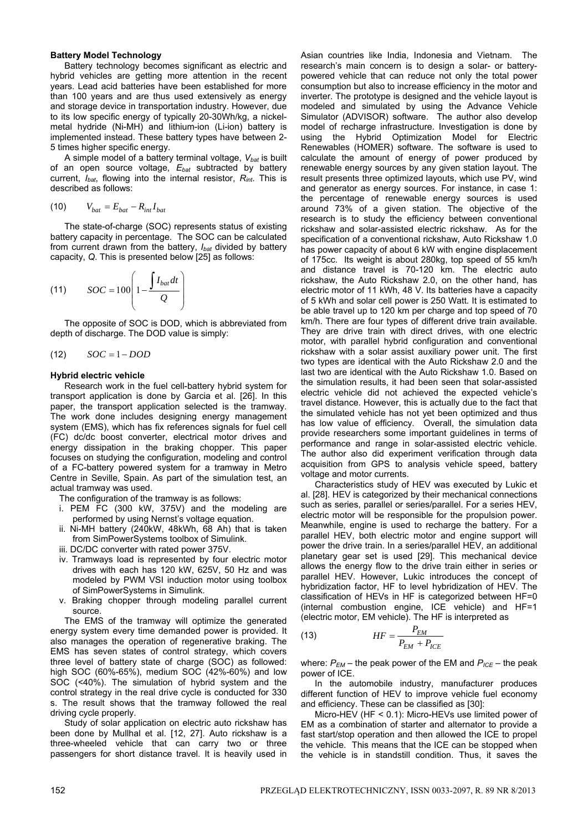## **Battery Model Technology**

Battery technology becomes significant as electric and hybrid vehicles are getting more attention in the recent years. Lead acid batteries have been established for more than 100 years and are thus used extensively as energy and storage device in transportation industry. However, due to its low specific energy of typically 20-30Wh/kg, a nickelmetal hydride (Ni-MH) and lithium-ion (Li-ion) battery is implemented instead. These battery types have between 2- 5 times higher specific energy.

A simple model of a battery terminal voltage, *Vbat* is built of an open source voltage, *Ebat* subtracted by battery current, *Ibat*, flowing into the internal resistor, *Rint*. This is described as follows:

$$
(10) \tV_{bat} = E_{bat} - R_{int} I_{bat}
$$

The state-of-charge (SOC) represents status of existing battery capacity in percentage. The SOC can be calculated from current drawn from the battery, *Ibat* divided by battery capacity, *Q*. This is presented below [25] as follows:

(11) 
$$
SOC = 100 \left( 1 - \frac{\int I_{bat} dt}{Q} \right)
$$

The opposite of SOC is DOD, which is abbreviated from depth of discharge. The DOD value is simply:

$$
(12) \qquad SOC = 1 - DOD
$$

#### **Hybrid electric vehicle**

Research work in the fuel cell-battery hybrid system for transport application is done by Garcia et al. [26]. In this paper, the transport application selected is the tramway. The work done includes designing energy management system (EMS), which has fix references signals for fuel cell (FC) dc/dc boost converter, electrical motor drives and energy dissipation in the braking chopper. This paper focuses on studying the configuration, modeling and control of a FC-battery powered system for a tramway in Metro Centre in Seville, Spain. As part of the simulation test, an actual tramway was used.

The configuration of the tramway is as follows:

- i. PEM FC (300 kW, 375V) and the modeling are performed by using Nernst's voltage equation.
- ii. Ni-MH battery (240kW, 48kWh, 68 Ah) that is taken from SimPowerSystems toolbox of Simulink.
- iii. DC/DC converter with rated power 375V.
- iv. Tramways load is represented by four electric motor drives with each has 120 kW, 625V, 50 Hz and was modeled by PWM VSI induction motor using toolbox of SimPowerSystems in Simulink.
- v. Braking chopper through modeling parallel current source.

The EMS of the tramway will optimize the generated energy system every time demanded power is provided. It also manages the operation of regenerative braking. The EMS has seven states of control strategy, which covers three level of battery state of charge (SOC) as followed: high SOC (60%-65%), medium SOC (42%-60%) and low SOC (<40%). The simulation of hybrid system and the control strategy in the real drive cycle is conducted for 330 s. The result shows that the tramway followed the real driving cycle properly.

Study of solar application on electric auto rickshaw has been done by Mullhal et al. [12, 27]. Auto rickshaw is a three-wheeled vehicle that can carry two or three passengers for short distance travel. It is heavily used in Asian countries like India, Indonesia and Vietnam. The research's main concern is to design a solar- or batterypowered vehicle that can reduce not only the total power consumption but also to increase efficiency in the motor and inverter. The prototype is designed and the vehicle layout is modeled and simulated by using the Advance Vehicle Simulator (ADVISOR) software. The author also develop model of recharge infrastructure. Investigation is done by using the Hybrid Optimization Model for Electric Renewables (HOMER) software. The software is used to calculate the amount of energy of power produced by renewable energy sources by any given station layout. The result presents three optimized layouts, which use PV, wind and generator as energy sources. For instance, in case 1: the percentage of renewable energy sources is used around 73% of a given station. The objective of the research is to study the efficiency between conventional rickshaw and solar-assisted electric rickshaw. As for the specification of a conventional rickshaw, Auto Rickshaw 1.0 has power capacity of about 6 kW with engine displacement of 175cc. Its weight is about 280kg, top speed of 55 km/h and distance travel is 70-120 km. The electric auto rickshaw, the Auto Rickshaw 2.0, on the other hand, has electric motor of 11 kWh, 48 V. Its batteries have a capacity of 5 kWh and solar cell power is 250 Watt. It is estimated to be able travel up to 120 km per charge and top speed of 70 km/h. There are four types of different drive train available. They are drive train with direct drives, with one electric motor, with parallel hybrid configuration and conventional rickshaw with a solar assist auxiliary power unit. The first two types are identical with the Auto Rickshaw 2.0 and the last two are identical with the Auto Rickshaw 1.0. Based on the simulation results, it had been seen that solar-assisted electric vehicle did not achieved the expected vehicle's travel distance. However, this is actually due to the fact that the simulated vehicle has not yet been optimized and thus has low value of efficiency. Overall, the simulation data provide researchers some important guidelines in terms of performance and range in solar-assisted electric vehicle. The author also did experiment verification through data acquisition from GPS to analysis vehicle speed, battery voltage and motor currents.

Characteristics study of HEV was executed by Lukic et al. [28]. HEV is categorized by their mechanical connections such as series, parallel or series/parallel. For a series HEV, electric motor will be responsible for the propulsion power. Meanwhile, engine is used to recharge the battery. For a parallel HEV, both electric motor and engine support will power the drive train. In a series/parallel HEV, an additional planetary gear set is used [29]. This mechanical device allows the energy flow to the drive train either in series or parallel HEV. However, Lukic introduces the concept of hybridization factor, HF to level hybridization of HEV. The classification of HEVs in HF is categorized between HF=0 (internal combustion engine, ICE vehicle) and HF=1 (electric motor, EM vehicle). The HF is interpreted as

$$
(13) \tHF = \frac{P_{EM}}{P_{EM} + P_{ICE}}
$$

where:  $P_{EM}$  – the peak power of the EM and  $P_{ICE}$  – the peak power of ICE.

In the automobile industry, manufacturer produces different function of HEV to improve vehicle fuel economy and efficiency. These can be classified as [30]:

Micro-HEV (HF < 0.1): Micro-HEVs use limited power of EM as a combination of starter and alternator to provide a fast start/stop operation and then allowed the ICE to propel the vehicle. This means that the ICE can be stopped when the vehicle is in standstill condition. Thus, it saves the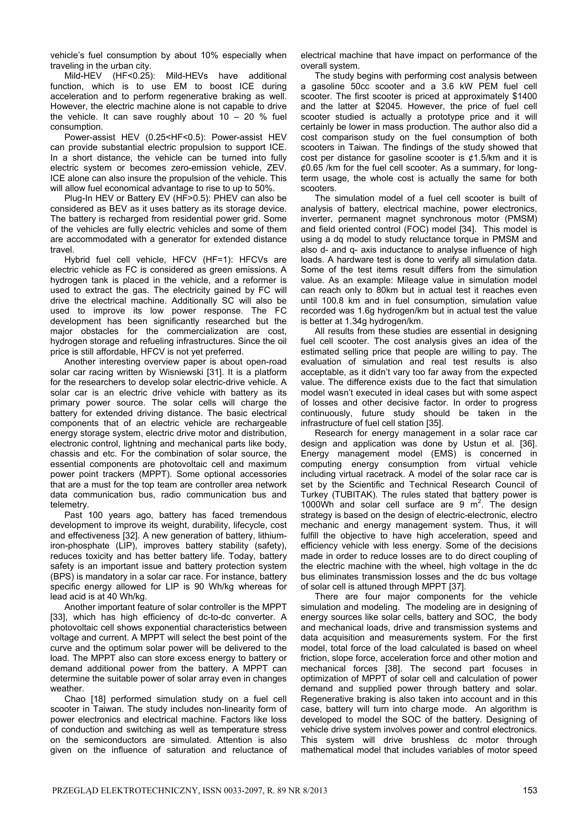vehicle's fuel consumption by about 10% especially when

traveling in the urban city.<br>Mild-HEV (HF<0.25): Mild-HEVs have additional function, which is to use EM to boost ICE during acceleration and to perform regenerative braking as well. However, the electric machine alone is not capable to drive the vehicle. It can save roughly about  $10 - 20$  % fuel consumption.

Power-assist HEV (0.25<HF<0.5): Power-assist HEV can provide substantial electric propulsion to support ICE. In a short distance, the vehicle can be turned into fully electric system or becomes zero-emission vehicle, ZEV. ICE alone can also insure the propulsion of the vehicle. This will allow fuel economical advantage to rise to up to 50%.

Plug-In HEV or Battery EV (HF>0.5): PHEV can also be considered as BEV as it uses battery as its storage device. The battery is recharged from residential power grid. Some of the vehicles are fully electric vehicles and some of them are accommodated with a generator for extended distance travel.

Hybrid fuel cell vehicle, HFCV (HF=1): HFCVs are electric vehicle as FC is considered as green emissions. A hydrogen tank is placed in the vehicle, and a reformer is used to extract the gas. The electricity gained by FC will drive the electrical machine. Additionally SC will also be used to improve its low power response. The FC development has been significantly researched but the major obstacles for the commercialization are cost, hydrogen storage and refueling infrastructures. Since the oil price is still affordable, HFCV is not yet preferred.

Another interesting overview paper is about open-road solar car racing written by Wisniewski [31]. It is a platform for the researchers to develop solar electric-drive vehicle. A solar car is an electric drive vehicle with battery as its primary power source. The solar cells will charge the battery for extended driving distance. The basic electrical components that of an electric vehicle are rechargeable energy storage system, electric drive motor and distribution, electronic control, lightning and mechanical parts like body, chassis and etc. For the combination of solar source, the essential components are photovoltaic cell and maximum power point trackers (MPPT). Some optional accessories that are a must for the top team are controller area network data communication bus, radio communication bus and telemetry.

Past 100 years ago, battery has faced tremendous development to improve its weight, durability, lifecycle, cost and effectiveness [32]. A new generation of battery, lithiumiron-phosphate (LIP), improves battery stability (safety), reduces toxicity and has better battery life. Today, battery safety is an important issue and battery protection system (BPS) is mandatory in a solar car race. For instance, battery specific energy allowed for LIP is 90 Wh/kg whereas for lead acid is at 40 Wh/kg.

Another important feature of solar controller is the MPPT [33], which has high efficiency of dc-to-dc converter. A photovoltaic cell shows exponential characteristics between voltage and current. A MPPT will select the best point of the curve and the optimum solar power will be delivered to the load. The MPPT also can store excess energy to battery or demand additional power from the battery. A MPPT can determine the suitable power of solar array even in changes weather.

Chao [18] performed simulation study on a fuel cell scooter in Taiwan. The study includes non-linearity form of power electronics and electrical machine. Factors like loss of conduction and switching as well as temperature stress on the semiconductors are simulated. Attention is also given on the influence of saturation and reluctance of

electrical machine that have impact on performance of the overall system.

The study begins with performing cost analysis between a gasoline 50cc scooter and a 3.6 kW PEM fuel cell scooter. The first scooter is priced at approximately \$1400 and the latter at \$2045. However, the price of fuel cell scooter studied is actually a prototype price and it will certainly be lower in mass production. The author also did a cost comparison study on the fuel consumption of both scooters in Taiwan. The findings of the study showed that cost per distance for gasoline scooter is  $\phi$ 1.5/km and it is  $\phi$ 0.65 /km for the fuel cell scooter. As a summary, for longterm usage, the whole cost is actually the same for both scooters.

The simulation model of a fuel cell scooter is built of analysis of battery, electrical machine, power electronics, inverter, permanent magnet synchronous motor (PMSM) and field oriented control (FOC) model [34]. This model is using a dq model to study reluctance torque in PMSM and also d- and q- axis inductance to analyse influence of high loads. A hardware test is done to verify all simulation data. Some of the test items result differs from the simulation value. As an example: Mileage value in simulation model can reach only to 80km but in actual test it reaches even until 100.8 km and in fuel consumption, simulation value recorded was 1.6g hydrogen/km but in actual test the value is better at 1.34g hydrogen/km.

All results from these studies are essential in designing fuel cell scooter. The cost analysis gives an idea of the estimated selling price that people are willing to pay. The evaluation of simulation and real test results is also acceptable, as it didn't vary too far away from the expected value. The difference exists due to the fact that simulation model wasn't executed in ideal cases but with some aspect of losses and other decisive factor. In order to progress continuously, future study should be taken in the infrastructure of fuel cell station [35].

Research for energy management in a solar race car design and application was done by Ustun et al. [36]. Energy management model (EMS) is concerned in computing energy consumption from virtual vehicle including virtual racetrack. A model of the solar race car is set by the Scientific and Technical Research Council of Turkey (TUBITAK). The rules stated that battery power is 1000 $\hat{W}$  and solar cell surface are 9  $m^2$ . The design strategy is based on the design of electric-electronic, electro mechanic and energy management system. Thus, it will fulfill the objective to have high acceleration, speed and efficiency vehicle with less energy. Some of the decisions made in order to reduce losses are to do direct coupling of the electric machine with the wheel, high voltage in the dc bus eliminates transmission losses and the dc bus voltage of solar cell is attuned through MPPT [37].

There are four major components for the vehicle simulation and modeling. The modeling are in designing of energy sources like solar cells, battery and SOC, the body and mechanical loads, drive and transmission systems and data acquisition and measurements system. For the first model, total force of the load calculated is based on wheel friction, slope force, acceleration force and other motion and mechanical forces [38]. The second part focuses in optimization of MPPT of solar cell and calculation of power demand and supplied power through battery and solar. Regenerative braking is also taken into account and in this case, battery will turn into charge mode. An algorithm is developed to model the SOC of the battery. Designing of vehicle drive system involves power and control electronics. This system will drive brushless dc motor through mathematical model that includes variables of motor speed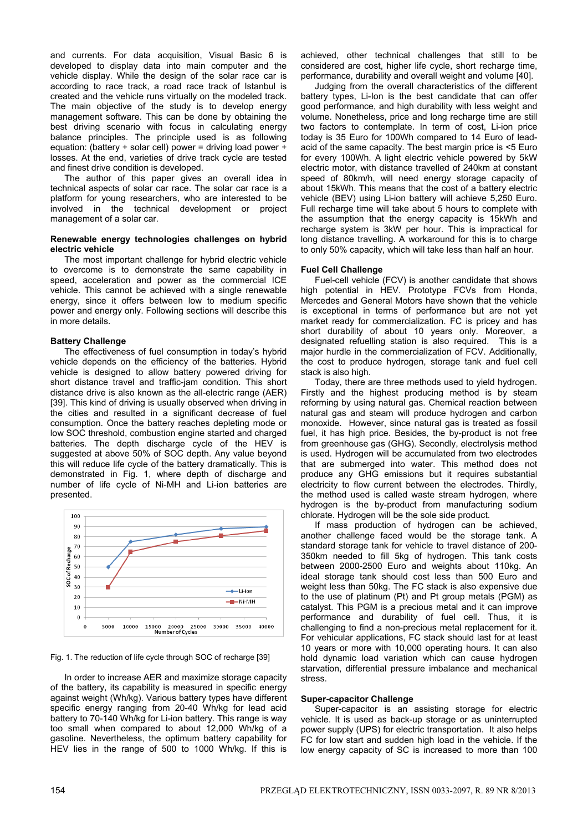and currents. For data acquisition, Visual Basic 6 is developed to display data into main computer and the vehicle display. While the design of the solar race car is according to race track, a road race track of Istanbul is created and the vehicle runs virtually on the modeled track. The main objective of the study is to develop energy management software. This can be done by obtaining the best driving scenario with focus in calculating energy balance principles. The principle used is as following equation: (battery + solar cell) power = driving load power + losses. At the end, varieties of drive track cycle are tested and finest drive condition is developed.

The author of this paper gives an overall idea in technical aspects of solar car race. The solar car race is a platform for young researchers, who are interested to be involved in the technical development or project management of a solar car.

## **Renewable energy technologies challenges on hybrid electric vehicle**

The most important challenge for hybrid electric vehicle to overcome is to demonstrate the same capability in speed, acceleration and power as the commercial ICE vehicle. This cannot be achieved with a single renewable energy, since it offers between low to medium specific power and energy only. Following sections will describe this in more details.

# **Battery Challenge**

The effectiveness of fuel consumption in today's hybrid vehicle depends on the efficiency of the batteries. Hybrid vehicle is designed to allow battery powered driving for short distance travel and traffic-jam condition. This short distance drive is also known as the all-electric range (AER) [39]. This kind of driving is usually observed when driving in the cities and resulted in a significant decrease of fuel consumption. Once the battery reaches depleting mode or low SOC threshold, combustion engine started and charged batteries. The depth discharge cycle of the HEV is suggested at above 50% of SOC depth. Any value beyond this will reduce life cycle of the battery dramatically. This is demonstrated in Fig. 1, where depth of discharge and number of life cycle of Ni-MH and Li-ion batteries are presented.



Fig. 1. The reduction of life cycle through SOC of recharge [39]

In order to increase AER and maximize storage capacity of the battery, its capability is measured in specific energy against weight (Wh/kg). Various battery types have different specific energy ranging from 20-40 Wh/kg for lead acid battery to 70-140 Wh/kg for Li-ion battery. This range is way too small when compared to about 12,000 Wh/kg of a gasoline. Nevertheless, the optimum battery capability for HEV lies in the range of 500 to 1000 Wh/kg. If this is achieved, other technical challenges that still to be considered are cost, higher life cycle, short recharge time, performance, durability and overall weight and volume [40].

Judging from the overall characteristics of the different battery types, Li-Ion is the best candidate that can offer good performance, and high durability with less weight and volume. Nonetheless, price and long recharge time are still two factors to contemplate. In term of cost, Li-ion price today is 35 Euro for 100Wh compared to 14 Euro of leadacid of the same capacity. The best margin price is <5 Euro for every 100Wh. A light electric vehicle powered by 5kW electric motor, with distance travelled of 240km at constant speed of 80km/h, will need energy storage capacity of about 15kWh. This means that the cost of a battery electric vehicle (BEV) using Li-ion battery will achieve 5,250 Euro. Full recharge time will take about 5 hours to complete with the assumption that the energy capacity is 15kWh and recharge system is 3kW per hour. This is impractical for long distance travelling. A workaround for this is to charge to only 50% capacity, which will take less than half an hour.

## **Fuel Cell Challenge**

Fuel-cell vehicle (FCV) is another candidate that shows high potential in HEV. Prototype FCVs from Honda, Mercedes and General Motors have shown that the vehicle is exceptional in terms of performance but are not yet market ready for commercialization. FC is pricey and has short durability of about 10 years only. Moreover, a designated refuelling station is also required. This is a major hurdle in the commercialization of FCV. Additionally, the cost to produce hydrogen, storage tank and fuel cell stack is also high.

Today, there are three methods used to yield hydrogen. Firstly and the highest producing method is by steam reforming by using natural gas. Chemical reaction between natural gas and steam will produce hydrogen and carbon monoxide. However, since natural gas is treated as fossil fuel, it has high price. Besides, the by-product is not free from greenhouse gas (GHG). Secondly, electrolysis method is used. Hydrogen will be accumulated from two electrodes that are submerged into water. This method does not produce any GHG emissions but it requires substantial electricity to flow current between the electrodes. Thirdly, the method used is called waste stream hydrogen, where hydrogen is the by-product from manufacturing sodium chlorate. Hydrogen will be the sole side product.

If mass production of hydrogen can be achieved, another challenge faced would be the storage tank. A standard storage tank for vehicle to travel distance of 200- 350km needed to fill 5kg of hydrogen. This tank costs between 2000-2500 Euro and weights about 110kg. An ideal storage tank should cost less than 500 Euro and weight less than 50kg. The FC stack is also expensive due to the use of platinum (Pt) and Pt group metals (PGM) as catalyst. This PGM is a precious metal and it can improve performance and durability of fuel cell. Thus, it is challenging to find a non-precious metal replacement for it. For vehicular applications, FC stack should last for at least 10 years or more with 10,000 operating hours. It can also hold dynamic load variation which can cause hydrogen starvation, differential pressure imbalance and mechanical stress.

## **Super-capacitor Challenge**

Super-capacitor is an assisting storage for electric vehicle. It is used as back-up storage or as uninterrupted power supply (UPS) for electric transportation. It also helps FC for low start and sudden high load in the vehicle. If the low energy capacity of SC is increased to more than 100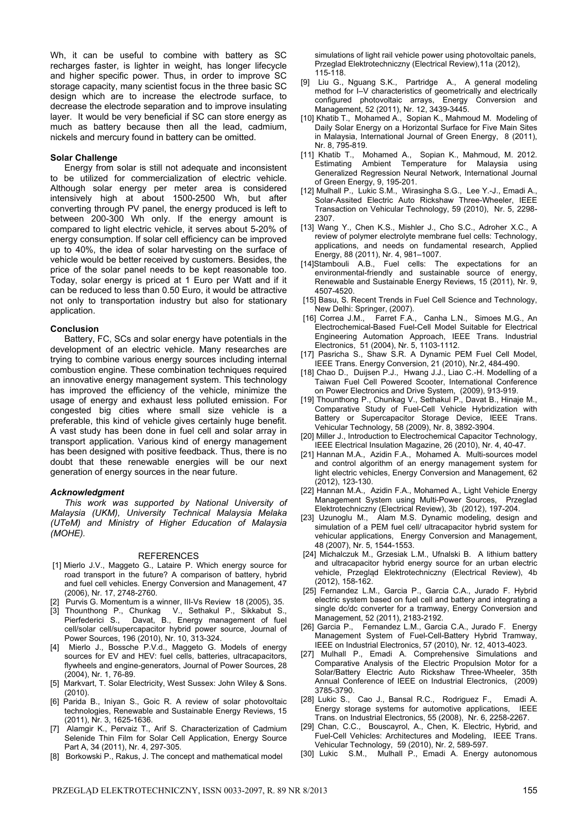Wh, it can be useful to combine with battery as SC recharges faster, is lighter in weight, has longer lifecycle and higher specific power. Thus, in order to improve SC storage capacity, many scientist focus in the three basic SC design which are to increase the electrode surface, to decrease the electrode separation and to improve insulating layer. It would be very beneficial if SC can store energy as much as battery because then all the lead, cadmium, nickels and mercury found in battery can be omitted.

## **Solar Challenge**

Energy from solar is still not adequate and inconsistent to be utilized for commercialization of electric vehicle. Although solar energy per meter area is considered intensively high at about 1500-2500 Wh, but after converting through PV panel, the energy produced is left to between 200-300 Wh only. If the energy amount is compared to light electric vehicle, it serves about 5-20% of energy consumption. If solar cell efficiency can be improved up to 40%, the idea of solar harvesting on the surface of vehicle would be better received by customers. Besides, the price of the solar panel needs to be kept reasonable too. Today, solar energy is priced at 1 Euro per Watt and if it can be reduced to less than 0.50 Euro, it would be attractive not only to transportation industry but also for stationary application.

## **Conclusion**

Battery, FC, SCs and solar energy have potentials in the development of an electric vehicle. Many researches are trying to combine various energy sources including internal combustion engine. These combination techniques required an innovative energy management system. This technology has improved the efficiency of the vehicle, minimize the usage of energy and exhaust less polluted emission. For congested big cities where small size vehicle is a preferable, this kind of vehicle gives certainly huge benefit. A vast study has been done in fuel cell and solar array in transport application. Various kind of energy management has been designed with positive feedback. Thus, there is no doubt that these renewable energies will be our next generation of energy sources in the near future.

## *Acknowledgment*

*This work was supported by National University of Malaysia (UKM), University Technical Malaysia Melaka (UTeM) and Ministry of Higher Education of Malaysia (MOHE).* 

## REFERENCES

- [1] Mierlo J.V., Maggeto G., Lataire P. Which energy source for road transport in the future? A comparison of battery, hybrid and fuel cell vehicles. Energy Conversion and Management, 47 (2006), Nr. 17, 2748-2760.
- [2] Purvis G. Momentum is a winner, III-Vs Review 18 (2005), 35.
- [3] Thounthong P., Chunkag V., Sethakul P., Sikkabut S., Pierfederici S., Davat, B., Energy management of fuel cell/solar cell/supercapacitor hybrid power source, Journal of Power Sources, 196 (2010), Nr. 10, 313-324.
- [4] Mierlo J., Bossche P.V.d., Maggeto G. Models of energy sources for EV and HEV: fuel cells, batteries, ultracapacitors, flywheels and engine-generators, Journal of Power Sources, 28 (2004), Nr. 1, 76-89.
- [5] Markvart, T. Solar Electricity, West Sussex: John Wiley & Sons. (2010).
- [6] Parida B., Iniyan S., Goic R. A review of solar photovoltaic technologies, Renewable and Sustainable Energy Reviews, 15 (2011), Nr. 3, 1625-1636.
- [7] Alamgir K., Pervaiz T., Arif S. Characterization of Cadmium Selenide Thin Film for Solar Cell Application, Energy Source Part A, 34 (2011), Nr. 4, 297-305.
- [8] Borkowski P., Rakus, J. The concept and mathematical model

simulations of light rail vehicle power using photovoltaic panels, Przeglad Elektrotechniczny (Electrical Review),11a (2012), 115-118.

- [9] Liu G., Nguang S.K., Partridge A., A general modeling method for I–V characteristics of geometrically and electrically configured photovoltaic arrays, Energy Conversion and Management, 52 (2011), Nr. 12, 3439-3445.
- [10] Khatib T., Mohamed A., Sopian K., Mahmoud M. Modeling of Daily Solar Energy on a Horizontal Surface for Five Main Sites in Malaysia, International Journal of Green Energy, 8 (2011), Nr. 8, 795-819.
- [11] Khatib T., Mohamed A., Sopian K., Mahmoud, M. 2012. Estimating Ambient Temperature for Malaysia using Generalized Regression Neural Network, International Journal of Green Energy, 9, 195-201.
- [12] Mulhall P., Lukic S.M., Wirasingha S.G., Lee Y.-J., Emadi A., Solar-Assited Electric Auto Rickshaw Three-Wheeler, IEEE Transaction on Vehicular Technology, 59 (2010), Nr. 5, 2298- 2307.
- [13] Wang Y., Chen K.S., Mishler J., Cho S.C., Adroher X.C., A review of polymer electrolyte membrane fuel cells: Technology, applications, and needs on fundamental research, Applied Energy, 88 (2011), Nr. 4, 981–1007.
- [14]Stambouli A.B., Fuel cells: The expectations for an environmental-friendly and sustainable source of energy, Renewable and Sustainable Energy Reviews, 15 (2011), Nr. 9, 4507-4520.
- [15] Basu, S. Recent Trends in Fuel Cell Science and Technology, New Delhi: Springer, (2007).
- [16] Correa J.M., Farret F.A., Canha L.N., Simoes M.G., An Electrochemical-Based Fuel-Cell Model Suitable for Electrical Engineering Automation Approach, IEEE Trans. Industrial Electronics, 51 (2004), Nr. 5, 1103-1112.
- [17] Pasricha S., Shaw S.R. A Dynamic PEM Fuel Cell Model, IEEE Trans. Energy Conversion, 21 (2010), Nr.2, 484-490.
- [18] Chao D., Duijsen P.J., Hwang J.J., Liao C.-H. Modelling of a Taiwan Fuel Cell Powered Scooter, International Conference on Power Electronics and Drive System, (2009), 913-919.
- [19] Thounthong P., Chunkag V., Sethakul P., Davat B., Hinaje M., Comparative Study of Fuel-Cell Vehicle Hybridization with Battery or Supercapacitor Storage Device, IEEE Trans. Vehicular Technology, 58 (2009), Nr. 8, 3892-3904.
- [20] Miller J., Introduction to Electrochemical Capacitor Technology, IEEE Electrical Insulation Magazine, 26 (2010), Nr. 4, 40-47.
- [21] Hannan M.A., Azidin F.A., Mohamed A. Multi-sources model and control algorithm of an energy management system for light electric vehicles, Energy Conversion and Management, 62 (2012), 123-130.
- [22] Hannan M.A., Azidin F.A., Mohamed A., Light Vehicle Energy Management System using Multi-Power Sources, Przeglad Elektrotechniczny (Electrical Review), 3b (2012), 197-204.
- [23] Uzunoglu M., Alam M.S. Dynamic modeling, design and simulation of a PEM fuel cell/ ultracapacitor hybrid system for vehicular applications, Energy Conversion and Management, 48 (2007), Nr. 5, 1544-1553.
- [24] Michalczuk M., Grzesiak L.M., Ufnalski B. A lithium battery and ultracapacitor hybrid energy source for an urban electric vehicle, Przegląd Elektrotechniczny (Electrical Review), 4b (2012), 158-162.
- [25] Fernandez L.M., Garcia P., Garcia C.A., Jurado F. Hybrid electric system based on fuel cell and battery and integrating a single dc/dc converter for a tramway, Energy Conversion and Management, 52 (2011), 2183-2192.
- [26] Garcia P., Fernandez L.M., Garcia C.A., Jurado F. Energy Management System of Fuel-Cell-Battery Hybrid Tramway, IEEE on Industrial Electronics, 57 (2010), Nr. 12, 4013-4023.
- [27] Mulhall P., Emadi A. Comprehensive Simulations and Comparative Analysis of the Electric Propulsion Motor for a Solar/Battery Electric Auto Rickshaw Three-Wheeler, 35th Annual Conference of IEEE on Industrial Electronics, (2009) 3785-3790.
- [28] Lukic S., Cao J., Bansal R.C., Rodriguez F., Emadi A. Energy storage systems for automotive applications, IEEE Trans. on Industrial Electronics, 55 (2008), Nr. 6, 2258-2267.
- [29] Chan, C.C., Bouscayrol, A., Chen, K. Electric, Hybrid, and Fuel-Cell Vehicles: Architectures and Modeling, IEEE Trans. Vehicular Technology, 59 (2010), Nr. 2, 589-597.
- [30] Lukic S.M., Mulhall P., Emadi A. Energy autonomous